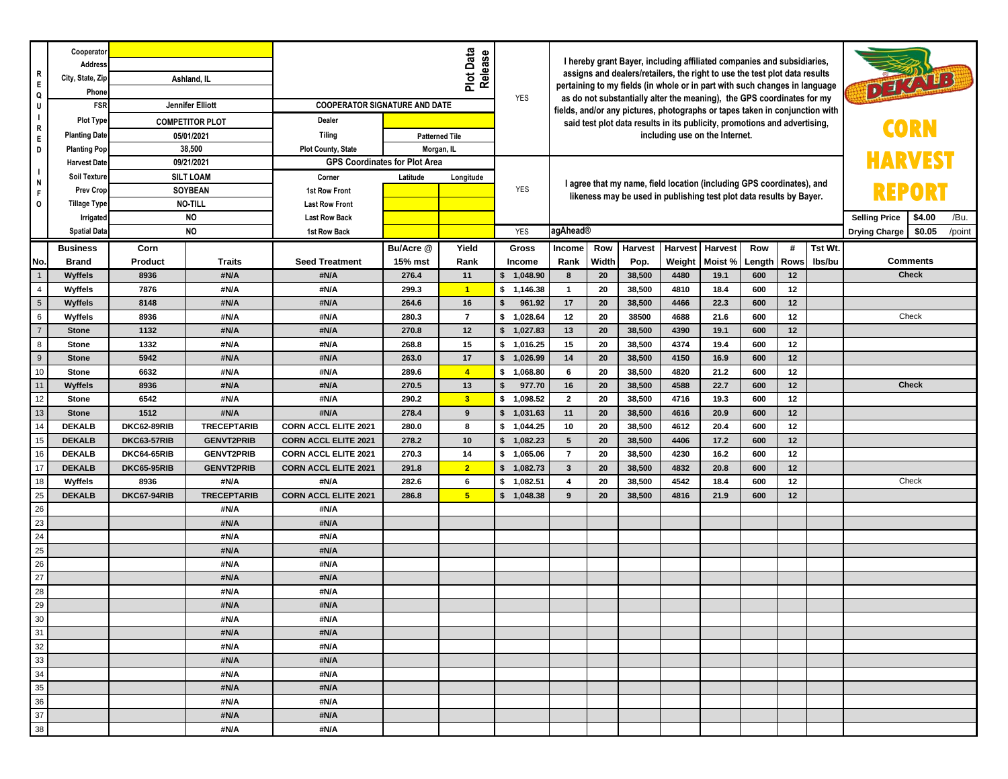| R<br>$\mathsf E$<br>Q<br>IJ<br>$\overline{1}$<br>$\mathsf{R}$<br>$\mathsf E$ | Cooperator<br>Address<br>City, State, Zip<br>Phone<br>FSR<br>Plot Type<br><b>Planting Date</b>                                            | Ashland, IL<br><b>Jennifer Elliott</b><br><b>COMPETITOR PLOT</b><br>05/01/2021<br>38,500<br>09/21/2021<br><b>SILT LOAM</b><br><b>SOYBEAN</b><br><b>NO-TILL</b><br><b>NO</b><br><b>NO</b> |                    | Plot Data<br>Release<br><b>COOPERATOR SIGNATURE AND DATE</b><br>Dealer<br><b>Tiling</b><br><b>Patterned Tile</b> |                                                                             |                         | <b>YES</b>               | I hereby grant Bayer, including affiliated companies and subsidiaries,<br>assigns and dealers/retailers, the right to use the test plot data results<br>pertaining to my fields (in whole or in part with such changes in language<br>as do not substantially alter the meaning), the GPS coordinates for my<br>fields, and/or any pictures, photographs or tapes taken in conjunction with<br>said test plot data results in its publicity, promotions and advertising,<br>including use on the Internet. |       |         |        |                 |                                                                                                                |             |         | DEAVID          |  |  |  |
|------------------------------------------------------------------------------|-------------------------------------------------------------------------------------------------------------------------------------------|------------------------------------------------------------------------------------------------------------------------------------------------------------------------------------------|--------------------|------------------------------------------------------------------------------------------------------------------|-----------------------------------------------------------------------------|-------------------------|--------------------------|------------------------------------------------------------------------------------------------------------------------------------------------------------------------------------------------------------------------------------------------------------------------------------------------------------------------------------------------------------------------------------------------------------------------------------------------------------------------------------------------------------|-------|---------|--------|-----------------|----------------------------------------------------------------------------------------------------------------|-------------|---------|-----------------|--|--|--|
| D<br>$\mathbf{I}$<br>N<br>F<br>$\circ$                                       | <b>Planting Pop</b><br><b>Harvest Date</b><br>Soil Texture<br><b>Prev Crop</b><br><b>Tillage Type</b><br>Irrigated<br><b>Spatial Data</b> |                                                                                                                                                                                          |                    | Plot County, State<br>Corner<br>1st Row Front<br><b>Last Row Front</b><br><b>Last Row Back</b><br>1st Row Back   | Morgan, IL<br><b>GPS Coordinates for Plot Area</b><br>Latitude<br>Longitude |                         | <b>YES</b><br><b>YES</b> | I agree that my name, field location (including GPS coordinates), and<br>likeness may be used in publishing test plot data results by Bayer.<br>agAhead®                                                                                                                                                                                                                                                                                                                                                   |       |         |        |                 | <b>HARVEST</b><br>REPORI<br><b>Selling Price</b><br>\$4.00<br>/Bu.<br>\$0.05<br><b>Drying Charge</b><br>/point |             |         |                 |  |  |  |
|                                                                              |                                                                                                                                           |                                                                                                                                                                                          |                    |                                                                                                                  |                                                                             |                         |                          |                                                                                                                                                                                                                                                                                                                                                                                                                                                                                                            |       |         |        |                 |                                                                                                                |             | Tst Wt. |                 |  |  |  |
|                                                                              | <b>Business</b>                                                                                                                           | Corn                                                                                                                                                                                     |                    |                                                                                                                  | Bu/Acre @                                                                   | Yield                   | Gross                    | Income                                                                                                                                                                                                                                                                                                                                                                                                                                                                                                     | Row   | Harvest |        | Harvest Harvest | Row                                                                                                            | #           |         | <b>Comments</b> |  |  |  |
| No.                                                                          | <b>Brand</b>                                                                                                                              | Product                                                                                                                                                                                  | <b>Traits</b>      | <b>Seed Treatment</b>                                                                                            | 15% mst                                                                     | Rank                    | Income                   | Rank                                                                                                                                                                                                                                                                                                                                                                                                                                                                                                       | Width | Pop.    | Weight | Moist %         | Length                                                                                                         | <b>Rows</b> | Ibs/bu  |                 |  |  |  |
| $\overline{1}$                                                               | Wyffels                                                                                                                                   | 8936                                                                                                                                                                                     | #N/A               | #N/A                                                                                                             | 276.4                                                                       | 11                      | \$1,048.90               | 8                                                                                                                                                                                                                                                                                                                                                                                                                                                                                                          | 20    | 38,500  | 4480   | 19.1            | 600                                                                                                            | 12          |         | <b>Check</b>    |  |  |  |
| $\overline{4}$                                                               | Wyffels                                                                                                                                   | 7876                                                                                                                                                                                     | #N/A               | #N/A                                                                                                             | 299.3                                                                       | $\blacktriangleleft$    | \$1,146.38               | $\overline{1}$                                                                                                                                                                                                                                                                                                                                                                                                                                                                                             | 20    | 38,500  | 4810   | 18.4            | 600                                                                                                            | 12          |         |                 |  |  |  |
| $\sqrt{5}$                                                                   | <b>Wyffels</b>                                                                                                                            | 8148                                                                                                                                                                                     | #N/A               | #N/A                                                                                                             | 264.6                                                                       | 16                      | 961.92<br>\$             | 17                                                                                                                                                                                                                                                                                                                                                                                                                                                                                                         | 20    | 38,500  | 4466   | 22.3            | 600                                                                                                            | 12          |         |                 |  |  |  |
| $\,6\,$                                                                      | Wyffels                                                                                                                                   | 8936                                                                                                                                                                                     | #N/A               | #N/A                                                                                                             | 280.3                                                                       | $\overline{7}$          | \$1,028.64               | 12                                                                                                                                                                                                                                                                                                                                                                                                                                                                                                         | 20    | 38500   | 4688   | 21.6            | 600                                                                                                            | 12          |         | Check           |  |  |  |
| $\overline{7}$                                                               | <b>Stone</b>                                                                                                                              | 1132                                                                                                                                                                                     | #N/A               | #N/A                                                                                                             | 270.8                                                                       | 12                      | \$ 1,027.83              | 13                                                                                                                                                                                                                                                                                                                                                                                                                                                                                                         | 20    | 38,500  | 4390   | 19.1            | 600                                                                                                            | 12          |         |                 |  |  |  |
| 8                                                                            | <b>Stone</b>                                                                                                                              | 1332                                                                                                                                                                                     | #N/A               | #N/A                                                                                                             | 15<br>268.8                                                                 |                         | \$1,016.25               | 15                                                                                                                                                                                                                                                                                                                                                                                                                                                                                                         | 20    | 38,500  | 4374   | 19.4            | 600                                                                                                            | 12          |         |                 |  |  |  |
| $9$                                                                          | <b>Stone</b>                                                                                                                              | 5942                                                                                                                                                                                     | #N/A               | #N/A                                                                                                             | 263.0                                                                       | 17                      | $\mathsf{s}$<br>1,026.99 | 14                                                                                                                                                                                                                                                                                                                                                                                                                                                                                                         | 20    | 38,500  | 4150   | 16.9            | 600                                                                                                            | 12          |         |                 |  |  |  |
| 10                                                                           | Stone                                                                                                                                     | 6632                                                                                                                                                                                     | #N/A               | #N/A                                                                                                             | 289.6                                                                       | $\blacktriangleleft$    | \$ 1,068.80              | 6                                                                                                                                                                                                                                                                                                                                                                                                                                                                                                          | 20    | 38,500  | 4820   | 21.2            | 600                                                                                                            | 12          |         |                 |  |  |  |
| 11                                                                           | Wyffels                                                                                                                                   | 8936                                                                                                                                                                                     | #N/A               | #N/A                                                                                                             | 270.5                                                                       | 13                      | $\mathsf{s}$<br>977.70   | 16                                                                                                                                                                                                                                                                                                                                                                                                                                                                                                         | 20    | 38,500  | 4588   | 22.7            | 600                                                                                                            | 12          |         | <b>Check</b>    |  |  |  |
| 12                                                                           | Stone                                                                                                                                     | 6542                                                                                                                                                                                     | #N/A               | #N/A                                                                                                             | 290.2                                                                       | $\overline{\mathbf{3}}$ | \$1,098.52               | $\mathbf{2}$                                                                                                                                                                                                                                                                                                                                                                                                                                                                                               | 20    | 38,500  | 4716   | 19.3            | 600                                                                                                            | 12          |         |                 |  |  |  |
| 13                                                                           | <b>Stone</b>                                                                                                                              | 1512                                                                                                                                                                                     | #N/A               | #N/A                                                                                                             | 278.4                                                                       | 9                       | \$ 1,031.63              | 11                                                                                                                                                                                                                                                                                                                                                                                                                                                                                                         | 20    | 38,500  | 4616   | 20.9            | 600                                                                                                            | 12          |         |                 |  |  |  |
| 14                                                                           | <b>DEKALB</b>                                                                                                                             | DKC62-89RIB                                                                                                                                                                              | <b>TRECEPTARIB</b> | <b>CORN ACCL ELITE 2021</b>                                                                                      | 280.0                                                                       | 8                       | 1,044.25<br>\$           | 10                                                                                                                                                                                                                                                                                                                                                                                                                                                                                                         | 20    | 38,500  | 4612   | 20.4            | 600                                                                                                            | 12          |         |                 |  |  |  |
| 15                                                                           | <b>DEKALB</b>                                                                                                                             | DKC63-57RIB                                                                                                                                                                              | <b>GENVT2PRIB</b>  | <b>CORN ACCL ELITE 2021</b>                                                                                      | 278.2                                                                       | 10                      | \$<br>1,082.23           | $5\phantom{.0}$                                                                                                                                                                                                                                                                                                                                                                                                                                                                                            | 20    | 38,500  | 4406   | 17.2            | 600                                                                                                            | 12          |         |                 |  |  |  |
| 16                                                                           | <b>DEKALB</b>                                                                                                                             | DKC64-65RIB                                                                                                                                                                              | <b>GENVT2PRIB</b>  | <b>CORN ACCL ELITE 2021</b>                                                                                      | 270.3                                                                       | 14                      | \$ 1,065.06              | $\overline{\phantom{a}}$                                                                                                                                                                                                                                                                                                                                                                                                                                                                                   | 20    | 38,500  | 4230   | 16.2            | 600                                                                                                            | 12          |         |                 |  |  |  |
| 17                                                                           | <b>DEKALB</b>                                                                                                                             | <b>DKC65-95RIB</b>                                                                                                                                                                       | <b>GENVT2PRIB</b>  | <b>CORN ACCL ELITE 2021</b>                                                                                      | 291.8                                                                       | $\overline{2}$          | \$1,082.73               | $\mathbf{3}$                                                                                                                                                                                                                                                                                                                                                                                                                                                                                               | 20    | 38,500  | 4832   | 20.8            | 600                                                                                                            | 12          |         |                 |  |  |  |
| 18                                                                           | Wyffels                                                                                                                                   | 8936                                                                                                                                                                                     | #N/A               | #N/A                                                                                                             | 282.6                                                                       | 6                       | \$1,082.51               | $\overline{4}$                                                                                                                                                                                                                                                                                                                                                                                                                                                                                             | 20    | 38,500  | 4542   | 18.4            | 600                                                                                                            | 12          |         | Check           |  |  |  |
| 25                                                                           | <b>DEKALB</b>                                                                                                                             | DKC67-94RIB                                                                                                                                                                              | <b>TRECEPTARIB</b> | <b>CORN ACCL ELITE 2021</b>                                                                                      | 286.8                                                                       | 5 <sup>5</sup>          | \$1,048.38               | 9                                                                                                                                                                                                                                                                                                                                                                                                                                                                                                          | 20    | 38,500  | 4816   | 21.9            | 600                                                                                                            | 12          |         |                 |  |  |  |
| 26                                                                           |                                                                                                                                           |                                                                                                                                                                                          | #N/A               | #N/A                                                                                                             |                                                                             |                         |                          |                                                                                                                                                                                                                                                                                                                                                                                                                                                                                                            |       |         |        |                 |                                                                                                                |             |         |                 |  |  |  |
| 23                                                                           |                                                                                                                                           |                                                                                                                                                                                          | #N/A               | #N/A                                                                                                             |                                                                             |                         |                          |                                                                                                                                                                                                                                                                                                                                                                                                                                                                                                            |       |         |        |                 |                                                                                                                |             |         |                 |  |  |  |
| 24                                                                           |                                                                                                                                           |                                                                                                                                                                                          | #N/A               | #N/A                                                                                                             |                                                                             |                         |                          |                                                                                                                                                                                                                                                                                                                                                                                                                                                                                                            |       |         |        |                 |                                                                                                                |             |         |                 |  |  |  |
| 25                                                                           |                                                                                                                                           |                                                                                                                                                                                          | #N/A               | #N/A                                                                                                             |                                                                             |                         |                          |                                                                                                                                                                                                                                                                                                                                                                                                                                                                                                            |       |         |        |                 |                                                                                                                |             |         |                 |  |  |  |
| 26                                                                           |                                                                                                                                           |                                                                                                                                                                                          | #N/A               | #N/A                                                                                                             |                                                                             |                         |                          |                                                                                                                                                                                                                                                                                                                                                                                                                                                                                                            |       |         |        |                 |                                                                                                                |             |         |                 |  |  |  |
| 27                                                                           |                                                                                                                                           |                                                                                                                                                                                          | #N/A               | #N/A                                                                                                             |                                                                             |                         |                          |                                                                                                                                                                                                                                                                                                                                                                                                                                                                                                            |       |         |        |                 |                                                                                                                |             |         |                 |  |  |  |
| 28                                                                           |                                                                                                                                           |                                                                                                                                                                                          | #N/A               | #N/A                                                                                                             |                                                                             |                         |                          |                                                                                                                                                                                                                                                                                                                                                                                                                                                                                                            |       |         |        |                 |                                                                                                                |             |         |                 |  |  |  |
| 29                                                                           |                                                                                                                                           |                                                                                                                                                                                          | #N/A               | #N/A                                                                                                             |                                                                             |                         |                          |                                                                                                                                                                                                                                                                                                                                                                                                                                                                                                            |       |         |        |                 |                                                                                                                |             |         |                 |  |  |  |
| 30                                                                           |                                                                                                                                           |                                                                                                                                                                                          | #N/A               | #N/A                                                                                                             |                                                                             |                         |                          |                                                                                                                                                                                                                                                                                                                                                                                                                                                                                                            |       |         |        |                 |                                                                                                                |             |         |                 |  |  |  |
| 31                                                                           |                                                                                                                                           |                                                                                                                                                                                          | #N/A               | #N/A                                                                                                             |                                                                             |                         |                          |                                                                                                                                                                                                                                                                                                                                                                                                                                                                                                            |       |         |        |                 |                                                                                                                |             |         |                 |  |  |  |
| 32                                                                           |                                                                                                                                           |                                                                                                                                                                                          | #N/A               | #N/A                                                                                                             |                                                                             |                         |                          |                                                                                                                                                                                                                                                                                                                                                                                                                                                                                                            |       |         |        |                 |                                                                                                                |             |         |                 |  |  |  |
| 33                                                                           |                                                                                                                                           |                                                                                                                                                                                          | #N/A               | #N/A                                                                                                             |                                                                             |                         |                          |                                                                                                                                                                                                                                                                                                                                                                                                                                                                                                            |       |         |        |                 |                                                                                                                |             |         |                 |  |  |  |
| 34                                                                           |                                                                                                                                           |                                                                                                                                                                                          | #N/A               | #N/A                                                                                                             |                                                                             |                         |                          |                                                                                                                                                                                                                                                                                                                                                                                                                                                                                                            |       |         |        |                 |                                                                                                                |             |         |                 |  |  |  |
| 35                                                                           |                                                                                                                                           |                                                                                                                                                                                          | #N/A               | #N/A                                                                                                             |                                                                             |                         |                          |                                                                                                                                                                                                                                                                                                                                                                                                                                                                                                            |       |         |        |                 |                                                                                                                |             |         |                 |  |  |  |
| 36                                                                           |                                                                                                                                           | #N/A                                                                                                                                                                                     |                    | #N/A                                                                                                             |                                                                             |                         |                          |                                                                                                                                                                                                                                                                                                                                                                                                                                                                                                            |       |         |        |                 |                                                                                                                |             |         |                 |  |  |  |
| 37                                                                           |                                                                                                                                           | #N/A                                                                                                                                                                                     |                    | #N/A                                                                                                             |                                                                             |                         |                          |                                                                                                                                                                                                                                                                                                                                                                                                                                                                                                            |       |         |        |                 |                                                                                                                |             |         |                 |  |  |  |
| $38\,$                                                                       |                                                                                                                                           |                                                                                                                                                                                          | #N/A               | #N/A                                                                                                             |                                                                             |                         |                          |                                                                                                                                                                                                                                                                                                                                                                                                                                                                                                            |       |         |        |                 |                                                                                                                |             |         |                 |  |  |  |